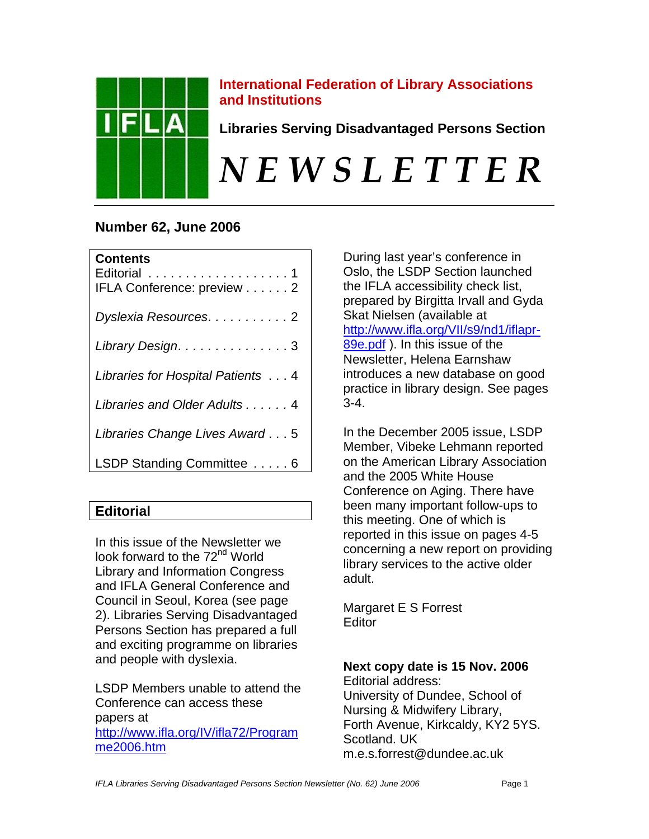

## **International Federation of Library Associations and Institutions**

**Libraries Serving Disadvantaged Persons Section** 

# *N E W S L E T T E R*

# **Number 62, June 2006**

| <b>Contents</b><br>IFLA Conference: preview 2 |
|-----------------------------------------------|
| Dyslexia Resources. 2                         |
| Library Design. 3                             |
| Libraries for Hospital Patients 4             |
| Libraries and Older Adults 4                  |
| Libraries Change Lives Award 5                |
| LSDP Standing Committee  6                    |

# **Editorial**

In this issue of the Newsletter we look forward to the 72<sup>nd</sup> World Library and Information Congress and IFLA General Conference and Council in Seoul, Korea (see page 2). Libraries Serving Disadvantaged Persons Section has prepared a full and exciting programme on libraries and people with dyslexia.

LSDP Members unable to attend the Conference can access these papers at http://www.ifla.org/IV/ifla72/Program me2006.htm

During last year's conference in Oslo, the LSDP Section launched the IFLA accessibility check list, prepared by Birgitta Irvall and Gyda Skat Nielsen (available at http://www.ifla.org/VII/s9/nd1/iflapr-89e.pdf ). In this issue of the Newsletter, Helena Earnshaw introduces a new database on good practice in library design. See pages 3-4.

In the December 2005 issue, LSDP Member, Vibeke Lehmann reported on the American Library Association and the 2005 White House Conference on Aging. There have been many important follow-ups to this meeting. One of which is reported in this issue on pages 4-5 concerning a new report on providing library services to the active older adult.

Margaret E S Forrest **Editor** 

**Next copy date is 15 Nov. 2006**  Editorial address: University of Dundee, School of Nursing & Midwifery Library, Forth Avenue, Kirkcaldy, KY2 5YS. Scotland. UK m.e.s.[forrest@dundee.ac.uk](mailto:forrest@dundee.ac.uk)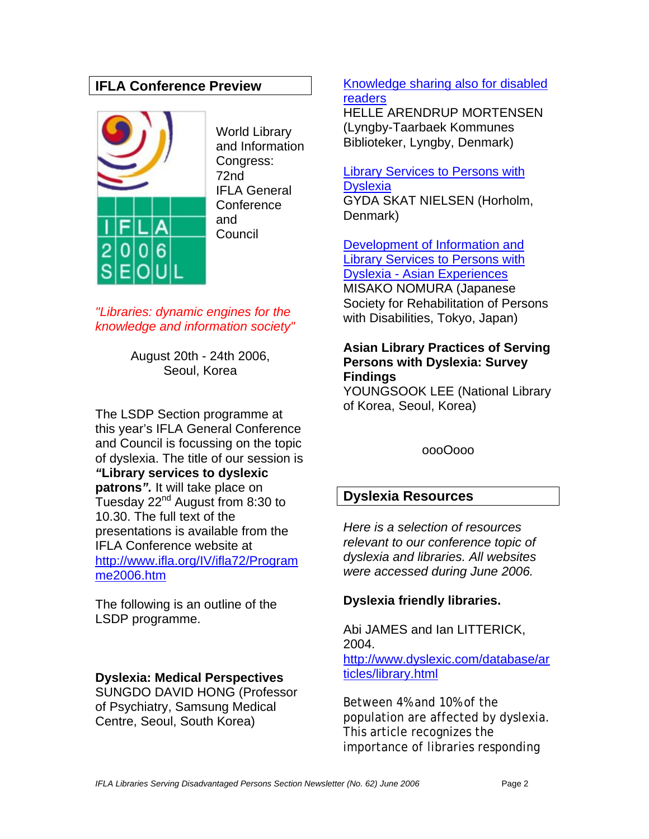## **IFLA Conference Preview**



World Library and Information Congress: 72nd IFLA General **Conference** and Council

*"Libraries: dynamic engines for the knowledge and information society"* 

> August 20th - 24th 2006, Seoul, Korea

The LSDP Section programme at this year's IFLA General Conference and Council is focussing on the topic of dyslexia. The title of our session is *"***Library services to dyslexic patrons***".* It will take place on Tuesday 22<sup>nd</sup> August from 8:30 to 10.30. The full text of the presentations is available from the IFLA Conference website at http://www.ifla.org/IV/ifla72/Program me2006.htm

The following is an outline of the LSDP programme.

## **Dyslexia: Medical Perspectives**

SUNGDO DAVID HONG (Professor of Psychiatry, Samsung Medical Centre, Seoul, South Korea)

### Knowledge sharing also for disabled readers

HELLE ARENDRUP MORTENSEN (Lyngby-Taarbaek Kommunes Biblioteker, Lyngby, Denmark)

#### Library Services to Persons with **Dyslexia**

GYDA SKAT NIELSEN (Horholm, Denmark)

Development of Information and Library Services to Persons with Dyslexia - Asian Experiences

MISAKO NOMURA (Japanese Society for Rehabilitation of Persons with Disabilities, Tokyo, Japan)

## **Asian Library Practices of Serving Persons with Dyslexia: Survey Findings**

YOUNGSOOK LEE (National Library of Korea, Seoul, Korea)

oooOooo

## **Dyslexia Resources**

*Here is a selection of resources relevant to our conference topic of dyslexia and libraries. All websites were accessed during June 2006.* 

## **Dyslexia friendly libraries.**

Abi JAMES and Ian LITTERICK, 2004. http://www.dyslexic.com/database/ar ticles/library.html

Between 4% and 10% of the population are affected by dyslexia. This article recognizes the importance of libraries responding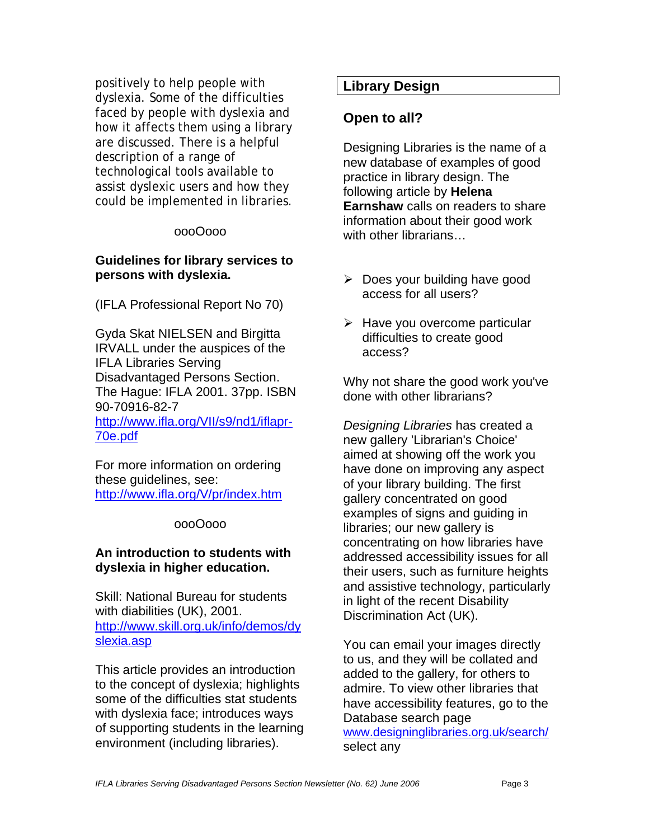positively to help people with dyslexia. Some of the difficulties faced by people with dyslexia and how it affects them using a library are discussed. There is a helpful description of a range of technological tools available to assist dyslexic users and how they could be implemented in libraries.

#### oooOooo

#### **Guidelines for library services to persons with dyslexia.**

(IFLA Professional Report No 70)

Gyda Skat NIELSEN and Birgitta IRVALL under the auspices of the IFLA Libraries Serving Disadvantaged Persons Section. The Hague: IFLA 2001. 37pp. ISBN 90-70916-82-7 http://www.ifla.org/VII/s9/nd1/iflapr-70e.pdf

For more information on ordering these guidelines, see: http://www.ifla.org/V/pr/index.htm

#### oooOooo

## **An introduction to students with dyslexia in higher education.**

Skill: National Bureau for students with diabilities (UK), 2001. http://www.skill.org.uk/info/demos/dy slexia.asp

This article provides an introduction to the concept of dyslexia; highlights some of the difficulties stat students with dyslexia face; introduces ways of supporting students in the learning environment (including libraries).

## **Library Design**

## **Open to all?**

Designing Libraries is the name of a new database of examples of good practice in library design. The following article by **Helena Earnshaw** calls on readers to share information about their good work with other librarians…

- $\triangleright$  Does your building have good access for all users?
- $\triangleright$  Have you overcome particular difficulties to create good access?

Why not share the good work you've done with other librarians?

*Designing Libraries* has created a new gallery 'Librarian's Choice' aimed at showing off the work you have done on improving any aspect of your library building. The first gallery concentrated on good examples of signs and guiding in libraries; our new gallery is concentrating on how libraries have addressed accessibility issues for all their users, such as furniture heights and assistive technology, particularly in light of the recent Disability Discrimination Act (UK).

You can email your images directly to us, and they will be collated and added to the gallery, for others to admire. To view other libraries that have accessibility features, go to the Database search page [www.designinglibraries.org.uk/search/](http://www.designinglibraries.org.uk/search)  select any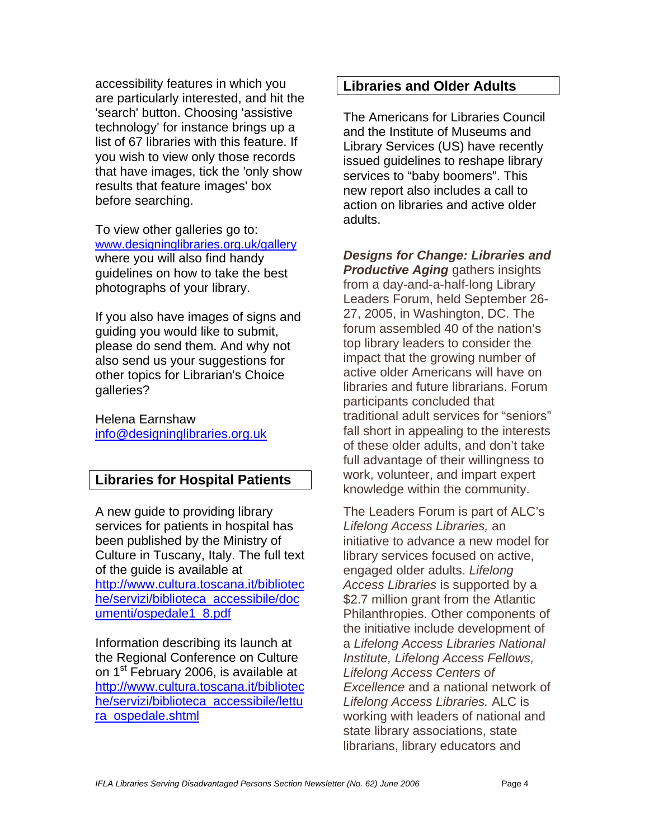accessibility features in which you are particularly interested, and hit the 'search' button. Choosing 'assistive technology' for instance brings up a list of 67 libraries with this feature. If you wish to view only those records that have images, tick the 'only show results that feature images' box before searching.

To view other galleries go to: [www.designinglibraries.org.uk/gallery](http://www.designinglibraries.org.uk/gallery)  where you will also find handy guidelines on how to take the best photographs of your library.

If you also have images of signs and guiding you would like to submit, please do send them. And why not also send us your suggestions for other topics for Librarian's Choice galleries?

Helena Earnshaw [info@designinglibraries.org.uk](mailto:info@designinglibraries.org.uk) 

## **Libraries for Hospital Patients**

A new guide to providing library services for patients in hospital has been published by the Ministry of Culture in Tuscany, Italy. The full text of the guide is available at http://www.cultura.toscana.it/bibliotec he/servizi/biblioteca\_accessibile/doc umenti/ospedale1\_8.pdf

Information describing its launch at the Regional Conference on Culture on 1<sup>st</sup> February 2006, is available at http://www.cultura.toscana.it/bibliotec he/servizi/biblioteca\_accessibile/lettu ra\_ospedale.shtml

## **Libraries and Older Adults**

The Americans for Libraries Council and the Institute of Museums and Library Services (US) have recently issued guidelines to reshape library services to "baby boomers". This new report also includes a call to action on libraries and active older adults.

*Designs for Change: Libraries and Productive Aging* gathers insights from a day-and-a-half-long Library Leaders Forum, held September 26- 27, 2005, in Washington, DC. The forum assembled 40 of the nation's top library leaders to consider the impact that the growing number of active older Americans will have on libraries and future librarians. Forum participants concluded that traditional adult services for "seniors" fall short in appealing to the interests of these older adults, and don't take full advantage of their willingness to work, volunteer, and impart expert knowledge within the community.

The Leaders Forum is part of ALC's *Lifelong Access Libraries,* an initiative to advance a new model for library services focused on active, engaged older adults. *Lifelong Access Libraries* is supported by a \$2.7 million grant from the Atlantic Philanthropies. Other components of the initiative include development of a *Lifelong Access Libraries National Institute, Lifelong Access Fellows, Lifelong Access Centers of Excellence* and a national network of *Lifelong Access Libraries.* ALC is working with leaders of national and state library associations, state librarians, library educators and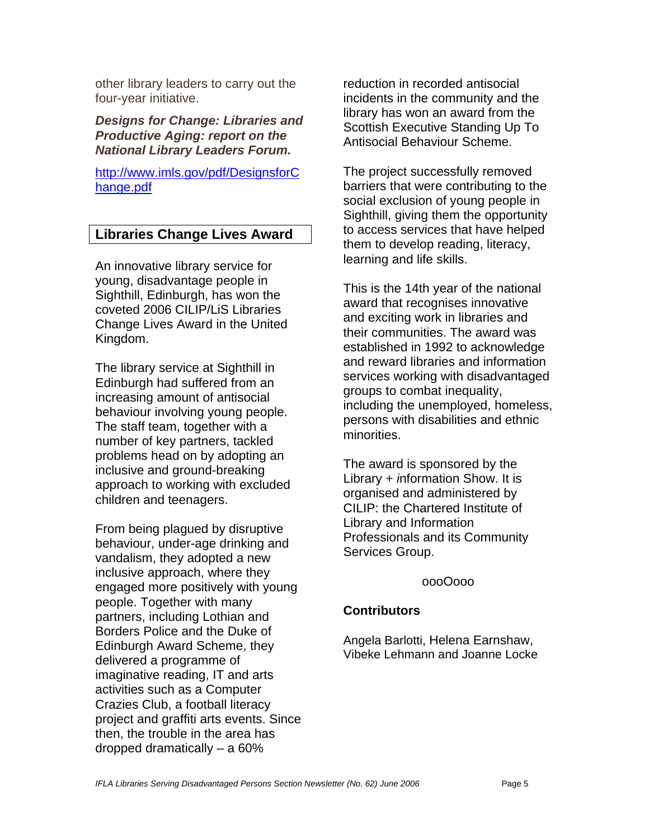other library leaders to carry out the four-year initiative.

*Designs for Change: Libraries and Productive Aging: report on the National Library Leaders Forum.* 

http://www.imls.gov/pdf/DesignsforC hange.pdf

## **Libraries Change Lives Award**

An innovative library service for young, disadvantage people in Sighthill, Edinburgh, has won the coveted 2006 CILIP/LiS Libraries Change Lives Award in the United Kingdom.

The library service at Sighthill in Edinburgh had suffered from an increasing amount of antisocial behaviour involving young people. The staff team, together with a number of key partners, tackled problems head on by adopting an inclusive and ground-breaking approach to working with excluded children and teenagers.

From being plagued by disruptive behaviour, under-age drinking and vandalism, they adopted a new inclusive approach, where they engaged more positively with young people. Together with many partners, including Lothian and Borders Police and the Duke of Edinburgh Award Scheme, they delivered a programme of imaginative reading, IT and arts activities such as a Computer Crazies Club, a football literacy project and graffiti arts events. Since then, the trouble in the area has dropped dramatically – a 60%

reduction in recorded antisocial incidents in the community and the library has won an award from the Scottish Executive Standing Up To Antisocial Behaviour Scheme.

The project successfully removed barriers that were contributing to the social exclusion of young people in Sighthill, giving them the opportunity to access services that have helped them to develop reading, literacy, learning and life skills.

This is the 14th year of the national award that recognises innovative and exciting work in libraries and their communities. The award was established in 1992 to acknowledge and reward libraries and information services working with disadvantaged groups to combat inequality, including the unemployed, homeless, persons with disabilities and ethnic minorities.

The award is sponsored by the Library + *i*nformation Show. It is organised and administered by CILIP: the Chartered Institute of Library and Information Professionals and its Community Services Group.

oooOooo

## **Contributors**

Angela Barlotti, Helena Earnshaw, Vibeke Lehmann and Joanne Locke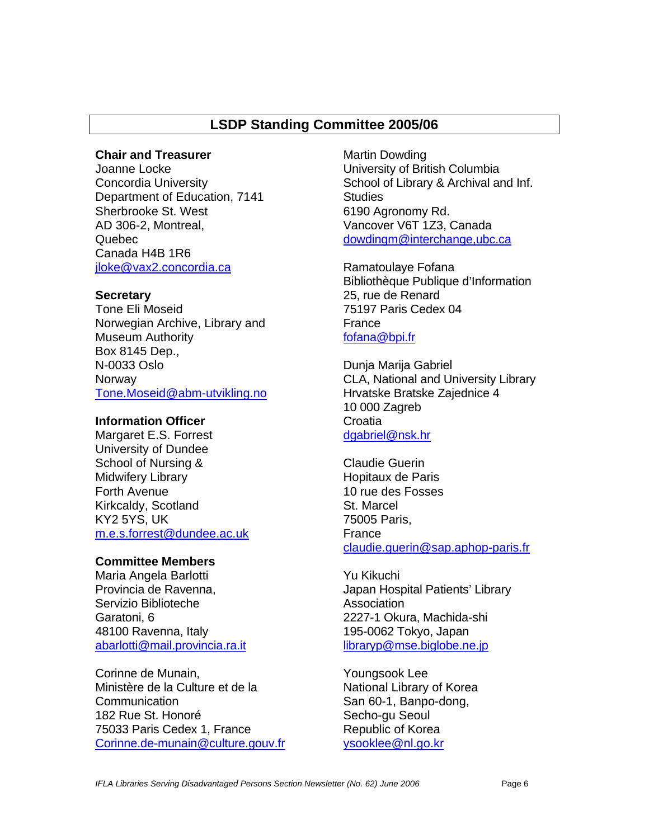## **LSDP Standing Committee 2005/06**

#### **Chair and Treasurer**

Joanne Locke Concordia University Department of Education, 7141 Sherbrooke St. West AD 306-2, Montreal, Quebec Canada H4B 1R6 jloke@vax2.concordia.ca

#### **Secretary**

Tone Eli Moseid Norwegian Archive, Library and Museum Authority Box 8145 Dep., N-0033 Oslo Norway Tone[.Moseid@abm-utvikling.no](mailto:Moseid@abm-utvikling.no) 

### **Information Officer**

Margaret E.S. Forrest University of Dundee School of Nursing & Midwifery Library Forth Avenue Kirkcaldy, Scotland KY2 5YS, UK m.e.s[.forrest@dundee.ac.uk](mailto:forrest@dundee.ac.uk) 

#### **Committee Members**

Maria Angela Barlotti Provincia de Ravenna, Servizio Biblioteche Garatoni, 6 48100 Ravenna, Italy abarlotti@mail.provincia.ra.it

Corinne de Munain, Ministère de la Culture et de la Communication 182 Rue St. Honoré 75033 Paris Cedex 1, France Corinne.de[-munain@culture.gouv.fr](mailto:munain@culture.gouv.fr)  Martin Dowding University of British Columbia School of Library & Archival and Inf. **Studies** 6190 Agronomy Rd. Vancover V6T 1Z3, Canada dowdingm@interchange,ubc.ca

Ramatoulaye Fofana Bibliothèque Publique d'Information 25, rue de Renard 75197 Paris Cedex 04 France fofana@bpi.fr

Dunja Marija Gabriel CLA, National and University Library Hrvatske Bratske Zajednice 4 10 000 Zagreb **Croatia** dgabriel@nsk.hr

Claudie Guerin Hopitaux de Paris 10 rue des Fosses St. Marcel 75005 Paris, France claudie.[guerin@sap.aphop-paris.fr](mailto:guerin@sap.aphop-paris.fr) 

Yu Kikuchi Japan Hospital Patients' Library **Association** 2227-1 Okura, Machida-shi 195-0062 Tokyo, Japan libraryp@mse.biglobe.ne.jp

Youngsook Lee National Library of Korea San 60-1, Banpo-dong, Secho-gu Seoul Republic of Korea ysooklee@nl.go.kr